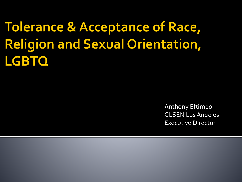**Tolerance & Acceptance of Race, Religion and Sexual Orientation, LGBTO** 

> Anthony Eftimeo GLSEN Los Angeles Executive Director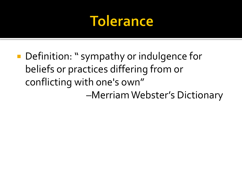#### **Tolerance**

**Definition: " sympathy or indulgence for** beliefs or practices differing from or conflicting with one's own" –Merriam Webster's Dictionary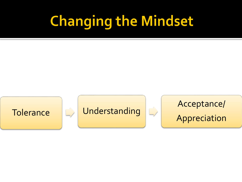## **Changing the Mindset**

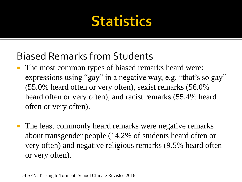### **Statistics**

#### Biased Remarks from Students

- The most common types of biased remarks heard were: expressions using "gay" in a negative way, e.g. "that's so gay" (55.0% heard often or very often), sexist remarks (56.0% heard often or very often), and racist remarks (55.4% heard often or very often).
- The least commonly heard remarks were negative remarks about transgender people (14.2% of students heard often or very often) and negative religious remarks (9.5% heard often or very often).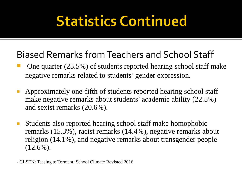## **Statistics Continued**

#### Biased Remarks from Teachers and School Staff

- One quarter (25.5%) of students reported hearing school staff make negative remarks related to students' gender expression.
- Approximately one-fifth of students reported hearing school staff make negative remarks about students' academic ability (22.5%) and sexist remarks (20.6%).
- Students also reported hearing school staff make homophobic remarks (15.3%), racist remarks (14.4%), negative remarks about religion (14.1%), and negative remarks about transgender people (12.6%).

- GLSEN: Teasing to Torment: School Climate Revisted 2016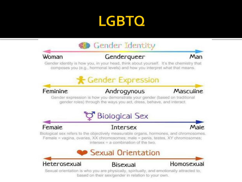### **LGBTO**



Sexual orientation is who you are physically, spiritually, and emotionally attracted to, based on their sex/gender in relation to your own.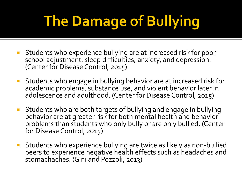# The Damage of Bullying

- **Students who experience bullying are at increased risk for poor** school adjustment, sleep difficulties, anxiety, and depression. (Center for Disease Control, 2015)
- Students who engage in bullying behavior are at increased risk for academic problems, substance use, and violent behavior later in adolescence and adulthood. (Center for Disease Control, 2015)
- Students who are both targets of bullying and engage in bullying behavior are at greater risk for both mental health and behavior problems than students who only bully or are only bullied. (Center for Disease Control, 2015)
- Students who experience bullying are twice as likely as non-bullied peers to experience negative health effects such as headaches and stomachaches. (Gini and Pozzoli, 2013)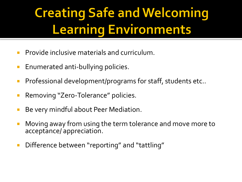### **Creating Safe and Welcoming Learning Environments**

- **Provide inclusive materials and curriculum.**
- **Enumerated anti-bullying policies.**
- **Professional development/programs for staff, students etc..**
- **Removing "Zero-Tolerance" policies.**
- **Be very mindful about Peer Mediation.**
- **Moving away from using the term tolerance and move more to** acceptance/ appreciation.
- **Difference between "reporting" and "tattling"**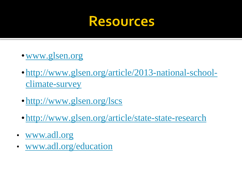#### **Resources**

- •[www.glsen.org](http://www.glsen.org/)
- •[http://www.glsen.org/article/2013-national-school](http://www.glsen.org/article/2013-national-school-climate-survey)climate-survey
- <http://www.glsen.org/lscs>
- •<http://www.glsen.org/article/state-state-research>
- [www.adl.org](http://www.adl.org/)
- [www.adl.org/education](http://www.adl.org/education)